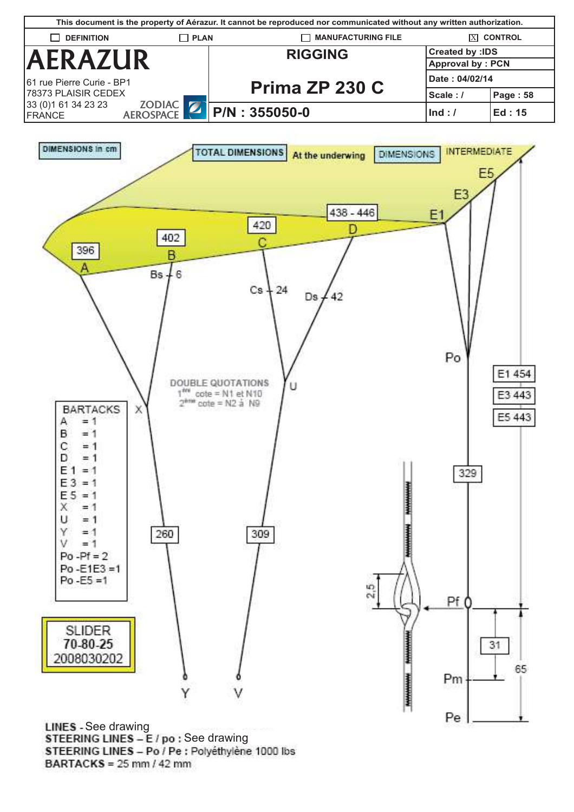



**LINES** - See drawing STEERING LINES - E / po : See drawing STEERING LINES - Po / Pe : Polyéthylène 1000 lbs  $BARTACKS = 25$  mm / 42 mm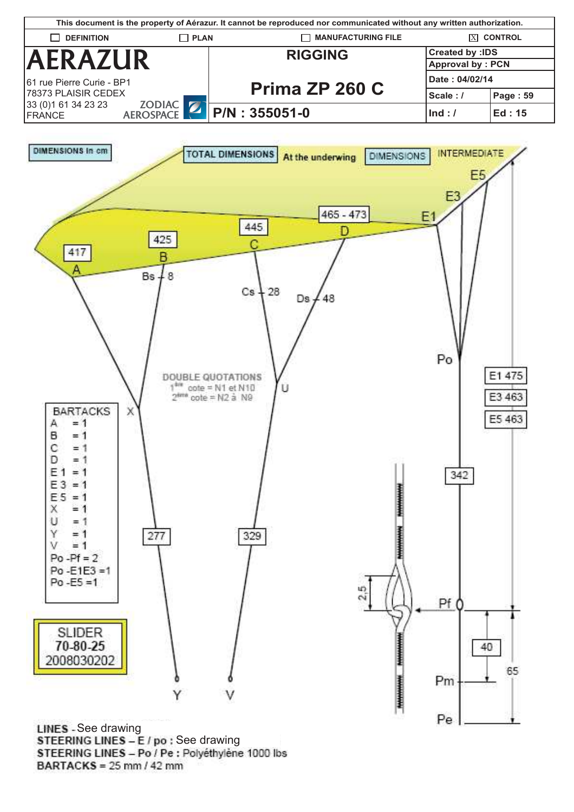



**LINES** - See drawing STEERING LINES - E / po : See drawing STEERING LINES - Po / Pe : Polyéthylène 1000 lbs BARTACKS =  $25 \text{ mm} / 42 \text{ mm}$